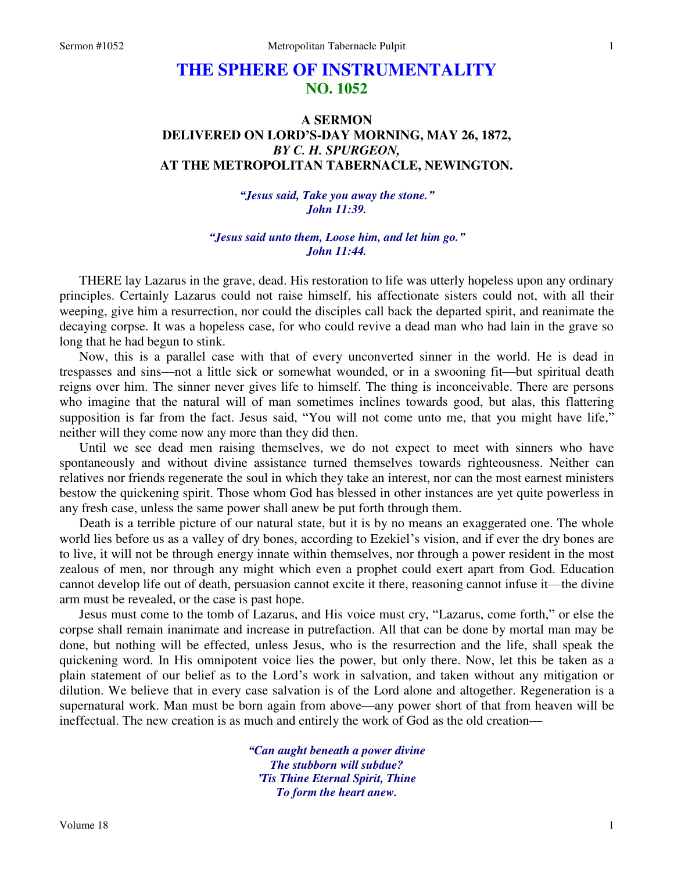## **THE SPHERE OF INSTRUMENTALITY NO. 1052**

## **A SERMON DELIVERED ON LORD'S-DAY MORNING, MAY 26, 1872,**  *BY C. H. SPURGEON,*  **AT THE METROPOLITAN TABERNACLE, NEWINGTON.**

*"Jesus said, Take you away the stone." John 11:39.* 

*"Jesus said unto them, Loose him, and let him go." John 11:44.* 

THERE lay Lazarus in the grave, dead. His restoration to life was utterly hopeless upon any ordinary principles. Certainly Lazarus could not raise himself, his affectionate sisters could not, with all their weeping, give him a resurrection, nor could the disciples call back the departed spirit, and reanimate the decaying corpse. It was a hopeless case, for who could revive a dead man who had lain in the grave so long that he had begun to stink.

Now, this is a parallel case with that of every unconverted sinner in the world. He is dead in trespasses and sins—not a little sick or somewhat wounded, or in a swooning fit—but spiritual death reigns over him. The sinner never gives life to himself. The thing is inconceivable. There are persons who imagine that the natural will of man sometimes inclines towards good, but alas, this flattering supposition is far from the fact. Jesus said, "You will not come unto me, that you might have life," neither will they come now any more than they did then.

Until we see dead men raising themselves, we do not expect to meet with sinners who have spontaneously and without divine assistance turned themselves towards righteousness. Neither can relatives nor friends regenerate the soul in which they take an interest, nor can the most earnest ministers bestow the quickening spirit. Those whom God has blessed in other instances are yet quite powerless in any fresh case, unless the same power shall anew be put forth through them.

Death is a terrible picture of our natural state, but it is by no means an exaggerated one. The whole world lies before us as a valley of dry bones, according to Ezekiel's vision, and if ever the dry bones are to live, it will not be through energy innate within themselves, nor through a power resident in the most zealous of men, nor through any might which even a prophet could exert apart from God. Education cannot develop life out of death, persuasion cannot excite it there, reasoning cannot infuse it—the divine arm must be revealed, or the case is past hope.

Jesus must come to the tomb of Lazarus, and His voice must cry, "Lazarus, come forth," or else the corpse shall remain inanimate and increase in putrefaction. All that can be done by mortal man may be done, but nothing will be effected, unless Jesus, who is the resurrection and the life, shall speak the quickening word. In His omnipotent voice lies the power, but only there. Now, let this be taken as a plain statement of our belief as to the Lord's work in salvation, and taken without any mitigation or dilution. We believe that in every case salvation is of the Lord alone and altogether. Regeneration is a supernatural work. Man must be born again from above—any power short of that from heaven will be ineffectual. The new creation is as much and entirely the work of God as the old creation—

> *"Can aught beneath a power divine The stubborn will subdue? 'Tis Thine Eternal Spirit, Thine To form the heart anew.*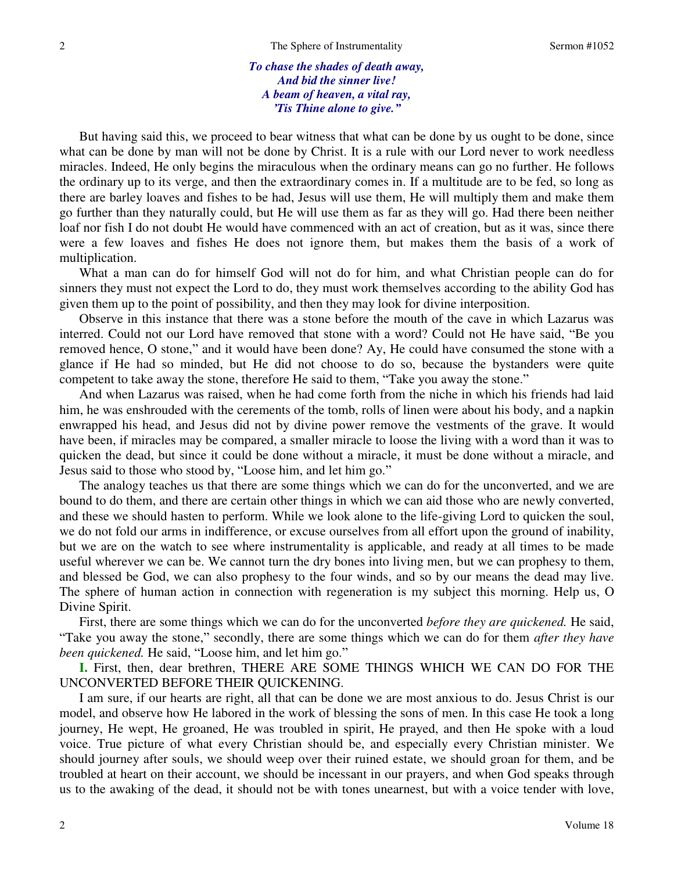*To chase the shades of death away, And bid the sinner live! A beam of heaven, a vital ray, 'Tis Thine alone to give."*

But having said this, we proceed to bear witness that what can be done by us ought to be done, since what can be done by man will not be done by Christ. It is a rule with our Lord never to work needless miracles. Indeed, He only begins the miraculous when the ordinary means can go no further. He follows the ordinary up to its verge, and then the extraordinary comes in. If a multitude are to be fed, so long as there are barley loaves and fishes to be had, Jesus will use them, He will multiply them and make them go further than they naturally could, but He will use them as far as they will go. Had there been neither loaf nor fish I do not doubt He would have commenced with an act of creation, but as it was, since there were a few loaves and fishes He does not ignore them, but makes them the basis of a work of multiplication.

What a man can do for himself God will not do for him, and what Christian people can do for sinners they must not expect the Lord to do, they must work themselves according to the ability God has given them up to the point of possibility, and then they may look for divine interposition.

Observe in this instance that there was a stone before the mouth of the cave in which Lazarus was interred. Could not our Lord have removed that stone with a word? Could not He have said, "Be you removed hence, O stone," and it would have been done? Ay, He could have consumed the stone with a glance if He had so minded, but He did not choose to do so, because the bystanders were quite competent to take away the stone, therefore He said to them, "Take you away the stone."

And when Lazarus was raised, when he had come forth from the niche in which his friends had laid him, he was enshrouded with the cerements of the tomb, rolls of linen were about his body, and a napkin enwrapped his head, and Jesus did not by divine power remove the vestments of the grave. It would have been, if miracles may be compared, a smaller miracle to loose the living with a word than it was to quicken the dead, but since it could be done without a miracle, it must be done without a miracle, and Jesus said to those who stood by, "Loose him, and let him go."

The analogy teaches us that there are some things which we can do for the unconverted, and we are bound to do them, and there are certain other things in which we can aid those who are newly converted, and these we should hasten to perform. While we look alone to the life-giving Lord to quicken the soul, we do not fold our arms in indifference, or excuse ourselves from all effort upon the ground of inability, but we are on the watch to see where instrumentality is applicable, and ready at all times to be made useful wherever we can be. We cannot turn the dry bones into living men, but we can prophesy to them, and blessed be God, we can also prophesy to the four winds, and so by our means the dead may live. The sphere of human action in connection with regeneration is my subject this morning. Help us, O Divine Spirit.

First, there are some things which we can do for the unconverted *before they are quickened.* He said, "Take you away the stone," secondly, there are some things which we can do for them *after they have been quickened.* He said, "Loose him, and let him go."

**I.** First, then, dear brethren, THERE ARE SOME THINGS WHICH WE CAN DO FOR THE UNCONVERTED BEFORE THEIR QUICKENING.

I am sure, if our hearts are right, all that can be done we are most anxious to do. Jesus Christ is our model, and observe how He labored in the work of blessing the sons of men. In this case He took a long journey, He wept, He groaned, He was troubled in spirit, He prayed, and then He spoke with a loud voice. True picture of what every Christian should be, and especially every Christian minister. We should journey after souls, we should weep over their ruined estate, we should groan for them, and be troubled at heart on their account, we should be incessant in our prayers, and when God speaks through us to the awaking of the dead, it should not be with tones unearnest, but with a voice tender with love,

2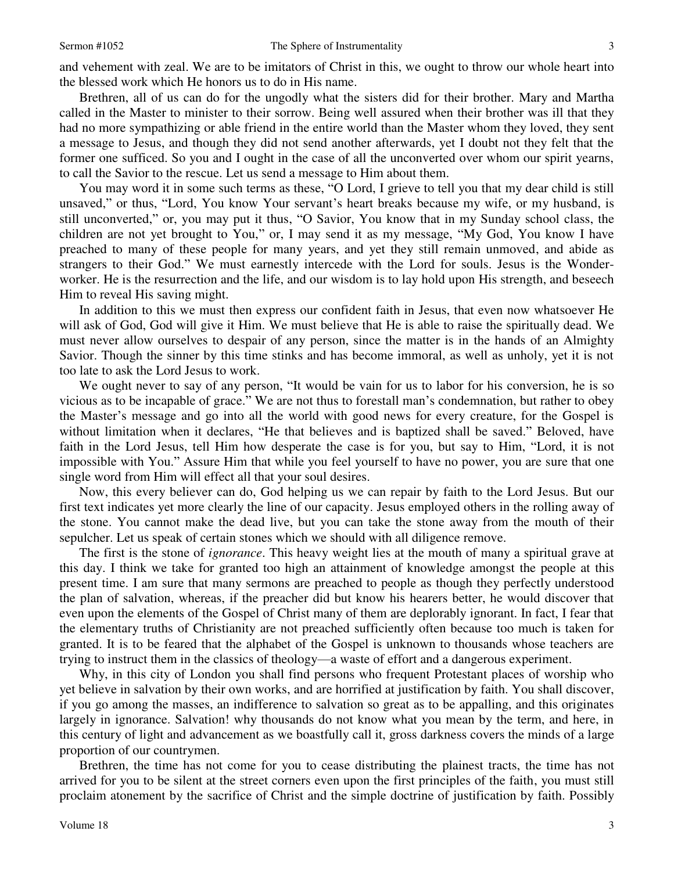and vehement with zeal. We are to be imitators of Christ in this, we ought to throw our whole heart into the blessed work which He honors us to do in His name.

Brethren, all of us can do for the ungodly what the sisters did for their brother. Mary and Martha called in the Master to minister to their sorrow. Being well assured when their brother was ill that they had no more sympathizing or able friend in the entire world than the Master whom they loved, they sent a message to Jesus, and though they did not send another afterwards, yet I doubt not they felt that the former one sufficed. So you and I ought in the case of all the unconverted over whom our spirit yearns, to call the Savior to the rescue. Let us send a message to Him about them.

You may word it in some such terms as these, "O Lord, I grieve to tell you that my dear child is still unsaved," or thus, "Lord, You know Your servant's heart breaks because my wife, or my husband, is still unconverted," or, you may put it thus, "O Savior, You know that in my Sunday school class, the children are not yet brought to You," or, I may send it as my message, "My God, You know I have preached to many of these people for many years, and yet they still remain unmoved, and abide as strangers to their God." We must earnestly intercede with the Lord for souls. Jesus is the Wonderworker. He is the resurrection and the life, and our wisdom is to lay hold upon His strength, and beseech Him to reveal His saving might.

In addition to this we must then express our confident faith in Jesus, that even now whatsoever He will ask of God, God will give it Him. We must believe that He is able to raise the spiritually dead. We must never allow ourselves to despair of any person, since the matter is in the hands of an Almighty Savior. Though the sinner by this time stinks and has become immoral, as well as unholy, yet it is not too late to ask the Lord Jesus to work.

We ought never to say of any person, "It would be vain for us to labor for his conversion, he is so vicious as to be incapable of grace." We are not thus to forestall man's condemnation, but rather to obey the Master's message and go into all the world with good news for every creature, for the Gospel is without limitation when it declares, "He that believes and is baptized shall be saved." Beloved, have faith in the Lord Jesus, tell Him how desperate the case is for you, but say to Him, "Lord, it is not impossible with You." Assure Him that while you feel yourself to have no power, you are sure that one single word from Him will effect all that your soul desires.

Now, this every believer can do, God helping us we can repair by faith to the Lord Jesus. But our first text indicates yet more clearly the line of our capacity. Jesus employed others in the rolling away of the stone. You cannot make the dead live, but you can take the stone away from the mouth of their sepulcher. Let us speak of certain stones which we should with all diligence remove.

The first is the stone of *ignorance*. This heavy weight lies at the mouth of many a spiritual grave at this day. I think we take for granted too high an attainment of knowledge amongst the people at this present time. I am sure that many sermons are preached to people as though they perfectly understood the plan of salvation, whereas, if the preacher did but know his hearers better, he would discover that even upon the elements of the Gospel of Christ many of them are deplorably ignorant. In fact, I fear that the elementary truths of Christianity are not preached sufficiently often because too much is taken for granted. It is to be feared that the alphabet of the Gospel is unknown to thousands whose teachers are trying to instruct them in the classics of theology—a waste of effort and a dangerous experiment.

Why, in this city of London you shall find persons who frequent Protestant places of worship who yet believe in salvation by their own works, and are horrified at justification by faith. You shall discover, if you go among the masses, an indifference to salvation so great as to be appalling, and this originates largely in ignorance. Salvation! why thousands do not know what you mean by the term, and here, in this century of light and advancement as we boastfully call it, gross darkness covers the minds of a large proportion of our countrymen.

Brethren, the time has not come for you to cease distributing the plainest tracts, the time has not arrived for you to be silent at the street corners even upon the first principles of the faith, you must still proclaim atonement by the sacrifice of Christ and the simple doctrine of justification by faith. Possibly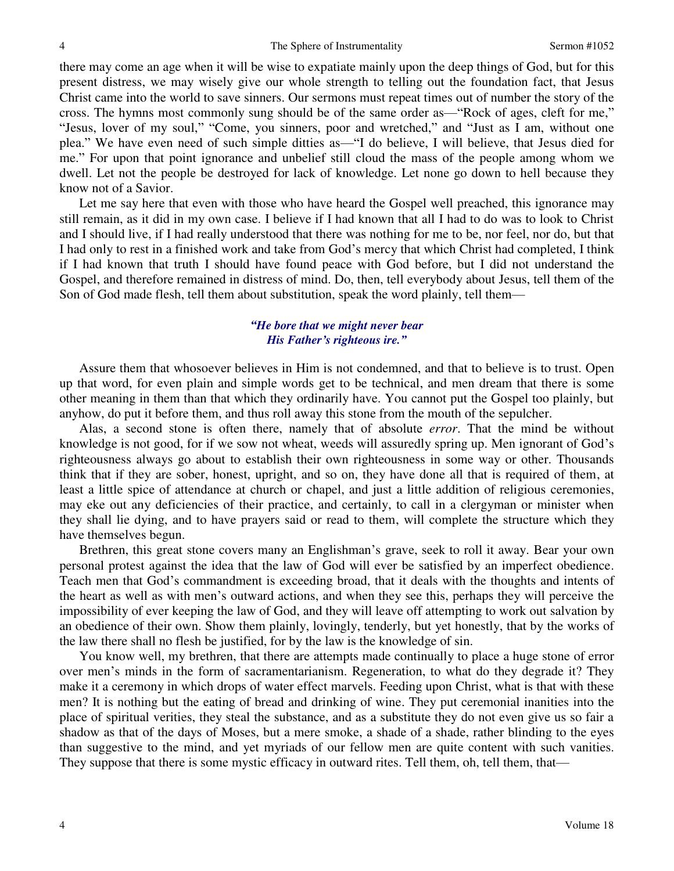there may come an age when it will be wise to expatiate mainly upon the deep things of God, but for this present distress, we may wisely give our whole strength to telling out the foundation fact, that Jesus Christ came into the world to save sinners. Our sermons must repeat times out of number the story of the cross. The hymns most commonly sung should be of the same order as—"Rock of ages, cleft for me," "Jesus, lover of my soul," "Come, you sinners, poor and wretched," and "Just as I am, without one plea." We have even need of such simple ditties as—"I do believe, I will believe, that Jesus died for me." For upon that point ignorance and unbelief still cloud the mass of the people among whom we dwell. Let not the people be destroyed for lack of knowledge. Let none go down to hell because they know not of a Savior.

Let me say here that even with those who have heard the Gospel well preached, this ignorance may still remain, as it did in my own case. I believe if I had known that all I had to do was to look to Christ and I should live, if I had really understood that there was nothing for me to be, nor feel, nor do, but that I had only to rest in a finished work and take from God's mercy that which Christ had completed, I think if I had known that truth I should have found peace with God before, but I did not understand the Gospel, and therefore remained in distress of mind. Do, then, tell everybody about Jesus, tell them of the Son of God made flesh, tell them about substitution, speak the word plainly, tell them—

## *"He bore that we might never bear His Father's righteous ire."*

 Assure them that whosoever believes in Him is not condemned, and that to believe is to trust. Open up that word, for even plain and simple words get to be technical, and men dream that there is some other meaning in them than that which they ordinarily have. You cannot put the Gospel too plainly, but anyhow, do put it before them, and thus roll away this stone from the mouth of the sepulcher.

Alas, a second stone is often there, namely that of absolute *error*. That the mind be without knowledge is not good, for if we sow not wheat, weeds will assuredly spring up. Men ignorant of God's righteousness always go about to establish their own righteousness in some way or other. Thousands think that if they are sober, honest, upright, and so on, they have done all that is required of them, at least a little spice of attendance at church or chapel, and just a little addition of religious ceremonies, may eke out any deficiencies of their practice, and certainly, to call in a clergyman or minister when they shall lie dying, and to have prayers said or read to them, will complete the structure which they have themselves begun.

Brethren, this great stone covers many an Englishman's grave, seek to roll it away. Bear your own personal protest against the idea that the law of God will ever be satisfied by an imperfect obedience. Teach men that God's commandment is exceeding broad, that it deals with the thoughts and intents of the heart as well as with men's outward actions, and when they see this, perhaps they will perceive the impossibility of ever keeping the law of God, and they will leave off attempting to work out salvation by an obedience of their own. Show them plainly, lovingly, tenderly, but yet honestly, that by the works of the law there shall no flesh be justified, for by the law is the knowledge of sin.

You know well, my brethren, that there are attempts made continually to place a huge stone of error over men's minds in the form of sacramentarianism. Regeneration, to what do they degrade it? They make it a ceremony in which drops of water effect marvels. Feeding upon Christ, what is that with these men? It is nothing but the eating of bread and drinking of wine. They put ceremonial inanities into the place of spiritual verities, they steal the substance, and as a substitute they do not even give us so fair a shadow as that of the days of Moses, but a mere smoke, a shade of a shade, rather blinding to the eyes than suggestive to the mind, and yet myriads of our fellow men are quite content with such vanities. They suppose that there is some mystic efficacy in outward rites. Tell them, oh, tell them, that—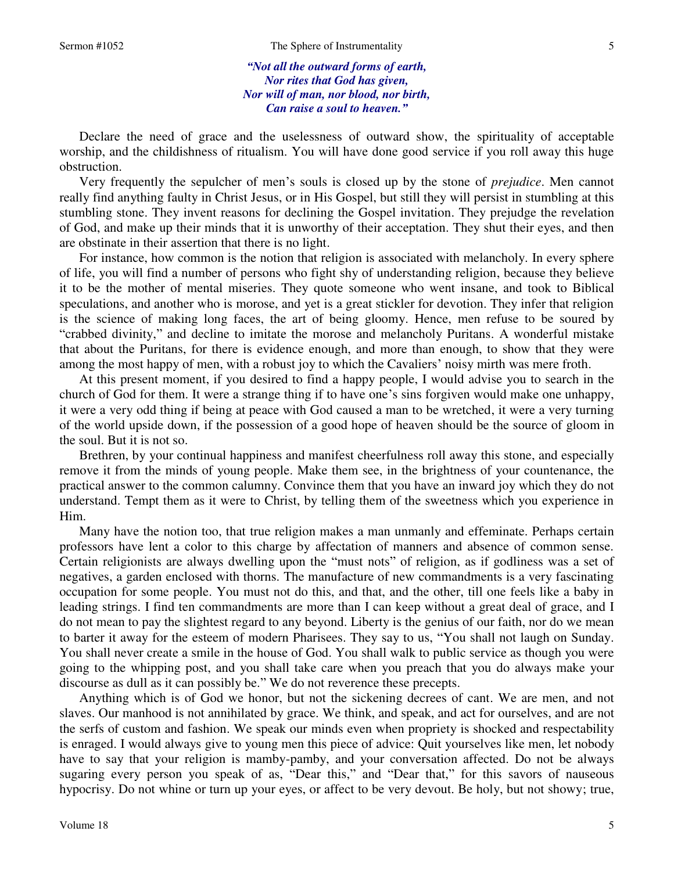5

*"Not all the outward forms of earth, Nor rites that God has given, Nor will of man, nor blood, nor birth, Can raise a soul to heaven."*

 Declare the need of grace and the uselessness of outward show, the spirituality of acceptable worship, and the childishness of ritualism. You will have done good service if you roll away this huge obstruction.

Very frequently the sepulcher of men's souls is closed up by the stone of *prejudice*. Men cannot really find anything faulty in Christ Jesus, or in His Gospel, but still they will persist in stumbling at this stumbling stone. They invent reasons for declining the Gospel invitation. They prejudge the revelation of God, and make up their minds that it is unworthy of their acceptation. They shut their eyes, and then are obstinate in their assertion that there is no light.

For instance, how common is the notion that religion is associated with melancholy. In every sphere of life, you will find a number of persons who fight shy of understanding religion, because they believe it to be the mother of mental miseries. They quote someone who went insane, and took to Biblical speculations, and another who is morose, and yet is a great stickler for devotion. They infer that religion is the science of making long faces, the art of being gloomy. Hence, men refuse to be soured by "crabbed divinity," and decline to imitate the morose and melancholy Puritans. A wonderful mistake that about the Puritans, for there is evidence enough, and more than enough, to show that they were among the most happy of men, with a robust joy to which the Cavaliers' noisy mirth was mere froth.

At this present moment, if you desired to find a happy people, I would advise you to search in the church of God for them. It were a strange thing if to have one's sins forgiven would make one unhappy, it were a very odd thing if being at peace with God caused a man to be wretched, it were a very turning of the world upside down, if the possession of a good hope of heaven should be the source of gloom in the soul. But it is not so.

Brethren, by your continual happiness and manifest cheerfulness roll away this stone, and especially remove it from the minds of young people. Make them see, in the brightness of your countenance, the practical answer to the common calumny. Convince them that you have an inward joy which they do not understand. Tempt them as it were to Christ, by telling them of the sweetness which you experience in Him.

Many have the notion too, that true religion makes a man unmanly and effeminate. Perhaps certain professors have lent a color to this charge by affectation of manners and absence of common sense. Certain religionists are always dwelling upon the "must nots" of religion, as if godliness was a set of negatives, a garden enclosed with thorns. The manufacture of new commandments is a very fascinating occupation for some people. You must not do this, and that, and the other, till one feels like a baby in leading strings. I find ten commandments are more than I can keep without a great deal of grace, and I do not mean to pay the slightest regard to any beyond. Liberty is the genius of our faith, nor do we mean to barter it away for the esteem of modern Pharisees. They say to us, "You shall not laugh on Sunday. You shall never create a smile in the house of God. You shall walk to public service as though you were going to the whipping post, and you shall take care when you preach that you do always make your discourse as dull as it can possibly be." We do not reverence these precepts.

Anything which is of God we honor, but not the sickening decrees of cant. We are men, and not slaves. Our manhood is not annihilated by grace. We think, and speak, and act for ourselves, and are not the serfs of custom and fashion. We speak our minds even when propriety is shocked and respectability is enraged. I would always give to young men this piece of advice: Quit yourselves like men, let nobody have to say that your religion is mamby-pamby, and your conversation affected. Do not be always sugaring every person you speak of as, "Dear this," and "Dear that," for this savors of nauseous hypocrisy. Do not whine or turn up your eyes, or affect to be very devout. Be holy, but not showy; true,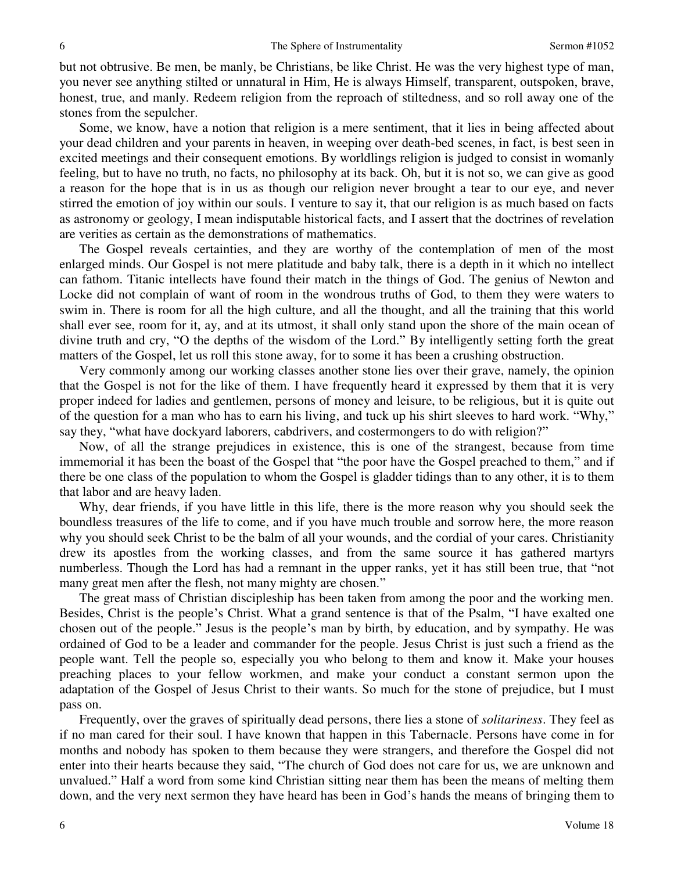but not obtrusive. Be men, be manly, be Christians, be like Christ. He was the very highest type of man, you never see anything stilted or unnatural in Him, He is always Himself, transparent, outspoken, brave, honest, true, and manly. Redeem religion from the reproach of stiltedness, and so roll away one of the stones from the sepulcher.

Some, we know, have a notion that religion is a mere sentiment, that it lies in being affected about your dead children and your parents in heaven, in weeping over death-bed scenes, in fact, is best seen in excited meetings and their consequent emotions. By worldlings religion is judged to consist in womanly feeling, but to have no truth, no facts, no philosophy at its back. Oh, but it is not so, we can give as good a reason for the hope that is in us as though our religion never brought a tear to our eye, and never stirred the emotion of joy within our souls. I venture to say it, that our religion is as much based on facts as astronomy or geology, I mean indisputable historical facts, and I assert that the doctrines of revelation are verities as certain as the demonstrations of mathematics.

The Gospel reveals certainties, and they are worthy of the contemplation of men of the most enlarged minds. Our Gospel is not mere platitude and baby talk, there is a depth in it which no intellect can fathom. Titanic intellects have found their match in the things of God. The genius of Newton and Locke did not complain of want of room in the wondrous truths of God, to them they were waters to swim in. There is room for all the high culture, and all the thought, and all the training that this world shall ever see, room for it, ay, and at its utmost, it shall only stand upon the shore of the main ocean of divine truth and cry, "O the depths of the wisdom of the Lord." By intelligently setting forth the great matters of the Gospel, let us roll this stone away, for to some it has been a crushing obstruction.

Very commonly among our working classes another stone lies over their grave, namely, the opinion that the Gospel is not for the like of them. I have frequently heard it expressed by them that it is very proper indeed for ladies and gentlemen, persons of money and leisure, to be religious, but it is quite out of the question for a man who has to earn his living, and tuck up his shirt sleeves to hard work. "Why," say they, "what have dockyard laborers, cabdrivers, and costermongers to do with religion?"

Now, of all the strange prejudices in existence, this is one of the strangest, because from time immemorial it has been the boast of the Gospel that "the poor have the Gospel preached to them," and if there be one class of the population to whom the Gospel is gladder tidings than to any other, it is to them that labor and are heavy laden.

Why, dear friends, if you have little in this life, there is the more reason why you should seek the boundless treasures of the life to come, and if you have much trouble and sorrow here, the more reason why you should seek Christ to be the balm of all your wounds, and the cordial of your cares. Christianity drew its apostles from the working classes, and from the same source it has gathered martyrs numberless. Though the Lord has had a remnant in the upper ranks, yet it has still been true, that "not many great men after the flesh, not many mighty are chosen."

The great mass of Christian discipleship has been taken from among the poor and the working men. Besides, Christ is the people's Christ. What a grand sentence is that of the Psalm, "I have exalted one chosen out of the people." Jesus is the people's man by birth, by education, and by sympathy. He was ordained of God to be a leader and commander for the people. Jesus Christ is just such a friend as the people want. Tell the people so, especially you who belong to them and know it. Make your houses preaching places to your fellow workmen, and make your conduct a constant sermon upon the adaptation of the Gospel of Jesus Christ to their wants. So much for the stone of prejudice, but I must pass on.

Frequently, over the graves of spiritually dead persons, there lies a stone of *solitariness*. They feel as if no man cared for their soul. I have known that happen in this Tabernacle. Persons have come in for months and nobody has spoken to them because they were strangers, and therefore the Gospel did not enter into their hearts because they said, "The church of God does not care for us, we are unknown and unvalued." Half a word from some kind Christian sitting near them has been the means of melting them down, and the very next sermon they have heard has been in God's hands the means of bringing them to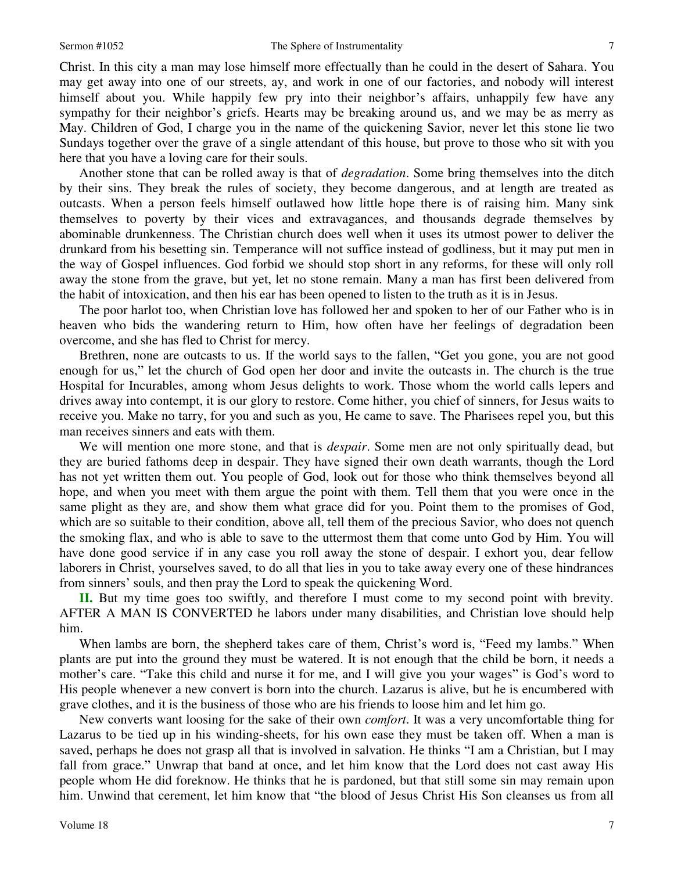Christ. In this city a man may lose himself more effectually than he could in the desert of Sahara. You may get away into one of our streets, ay, and work in one of our factories, and nobody will interest himself about you. While happily few pry into their neighbor's affairs, unhappily few have any sympathy for their neighbor's griefs. Hearts may be breaking around us, and we may be as merry as May. Children of God, I charge you in the name of the quickening Savior, never let this stone lie two Sundays together over the grave of a single attendant of this house, but prove to those who sit with you here that you have a loving care for their souls.

Another stone that can be rolled away is that of *degradation*. Some bring themselves into the ditch by their sins. They break the rules of society, they become dangerous, and at length are treated as outcasts. When a person feels himself outlawed how little hope there is of raising him. Many sink themselves to poverty by their vices and extravagances, and thousands degrade themselves by abominable drunkenness. The Christian church does well when it uses its utmost power to deliver the drunkard from his besetting sin. Temperance will not suffice instead of godliness, but it may put men in the way of Gospel influences. God forbid we should stop short in any reforms, for these will only roll away the stone from the grave, but yet, let no stone remain. Many a man has first been delivered from the habit of intoxication, and then his ear has been opened to listen to the truth as it is in Jesus.

The poor harlot too, when Christian love has followed her and spoken to her of our Father who is in heaven who bids the wandering return to Him, how often have her feelings of degradation been overcome, and she has fled to Christ for mercy.

Brethren, none are outcasts to us. If the world says to the fallen, "Get you gone, you are not good enough for us," let the church of God open her door and invite the outcasts in. The church is the true Hospital for Incurables, among whom Jesus delights to work. Those whom the world calls lepers and drives away into contempt, it is our glory to restore. Come hither, you chief of sinners, for Jesus waits to receive you. Make no tarry, for you and such as you, He came to save. The Pharisees repel you, but this man receives sinners and eats with them.

We will mention one more stone, and that is *despair*. Some men are not only spiritually dead, but they are buried fathoms deep in despair. They have signed their own death warrants, though the Lord has not yet written them out. You people of God, look out for those who think themselves beyond all hope, and when you meet with them argue the point with them. Tell them that you were once in the same plight as they are, and show them what grace did for you. Point them to the promises of God, which are so suitable to their condition, above all, tell them of the precious Savior, who does not quench the smoking flax, and who is able to save to the uttermost them that come unto God by Him. You will have done good service if in any case you roll away the stone of despair. I exhort you, dear fellow laborers in Christ, yourselves saved, to do all that lies in you to take away every one of these hindrances from sinners' souls, and then pray the Lord to speak the quickening Word.

**II.** But my time goes too swiftly, and therefore I must come to my second point with brevity. AFTER A MAN IS CONVERTED he labors under many disabilities, and Christian love should help him.

When lambs are born, the shepherd takes care of them, Christ's word is, "Feed my lambs." When plants are put into the ground they must be watered. It is not enough that the child be born, it needs a mother's care. "Take this child and nurse it for me, and I will give you your wages" is God's word to His people whenever a new convert is born into the church. Lazarus is alive, but he is encumbered with grave clothes, and it is the business of those who are his friends to loose him and let him go.

New converts want loosing for the sake of their own *comfort*. It was a very uncomfortable thing for Lazarus to be tied up in his winding-sheets, for his own ease they must be taken off. When a man is saved, perhaps he does not grasp all that is involved in salvation. He thinks "I am a Christian, but I may fall from grace." Unwrap that band at once, and let him know that the Lord does not cast away His people whom He did foreknow. He thinks that he is pardoned, but that still some sin may remain upon him. Unwind that cerement, let him know that "the blood of Jesus Christ His Son cleanses us from all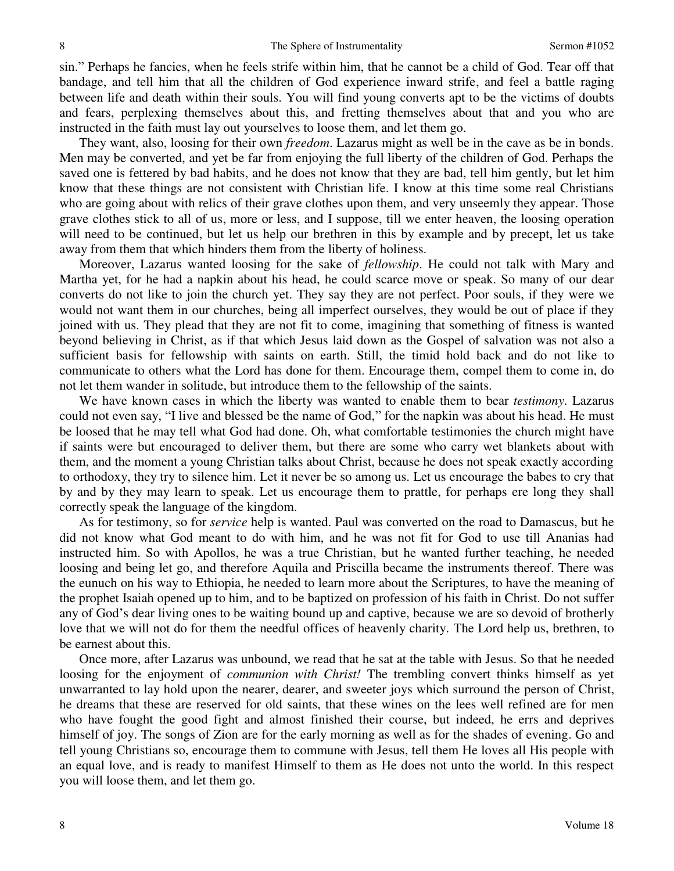sin." Perhaps he fancies, when he feels strife within him, that he cannot be a child of God. Tear off that bandage, and tell him that all the children of God experience inward strife, and feel a battle raging between life and death within their souls. You will find young converts apt to be the victims of doubts and fears, perplexing themselves about this, and fretting themselves about that and you who are instructed in the faith must lay out yourselves to loose them, and let them go.

They want, also, loosing for their own *freedom*. Lazarus might as well be in the cave as be in bonds. Men may be converted, and yet be far from enjoying the full liberty of the children of God. Perhaps the saved one is fettered by bad habits, and he does not know that they are bad, tell him gently, but let him know that these things are not consistent with Christian life. I know at this time some real Christians who are going about with relics of their grave clothes upon them, and very unseemly they appear. Those grave clothes stick to all of us, more or less, and I suppose, till we enter heaven, the loosing operation will need to be continued, but let us help our brethren in this by example and by precept, let us take away from them that which hinders them from the liberty of holiness.

Moreover, Lazarus wanted loosing for the sake of *fellowship*. He could not talk with Mary and Martha yet, for he had a napkin about his head, he could scarce move or speak. So many of our dear converts do not like to join the church yet. They say they are not perfect. Poor souls, if they were we would not want them in our churches, being all imperfect ourselves, they would be out of place if they joined with us. They plead that they are not fit to come, imagining that something of fitness is wanted beyond believing in Christ, as if that which Jesus laid down as the Gospel of salvation was not also a sufficient basis for fellowship with saints on earth. Still, the timid hold back and do not like to communicate to others what the Lord has done for them. Encourage them, compel them to come in, do not let them wander in solitude, but introduce them to the fellowship of the saints.

We have known cases in which the liberty was wanted to enable them to bear *testimony*. Lazarus could not even say, "I live and blessed be the name of God," for the napkin was about his head. He must be loosed that he may tell what God had done. Oh, what comfortable testimonies the church might have if saints were but encouraged to deliver them, but there are some who carry wet blankets about with them, and the moment a young Christian talks about Christ, because he does not speak exactly according to orthodoxy, they try to silence him. Let it never be so among us. Let us encourage the babes to cry that by and by they may learn to speak. Let us encourage them to prattle, for perhaps ere long they shall correctly speak the language of the kingdom.

As for testimony, so for *service* help is wanted. Paul was converted on the road to Damascus, but he did not know what God meant to do with him, and he was not fit for God to use till Ananias had instructed him. So with Apollos, he was a true Christian, but he wanted further teaching, he needed loosing and being let go, and therefore Aquila and Priscilla became the instruments thereof. There was the eunuch on his way to Ethiopia, he needed to learn more about the Scriptures, to have the meaning of the prophet Isaiah opened up to him, and to be baptized on profession of his faith in Christ. Do not suffer any of God's dear living ones to be waiting bound up and captive, because we are so devoid of brotherly love that we will not do for them the needful offices of heavenly charity. The Lord help us, brethren, to be earnest about this.

Once more, after Lazarus was unbound, we read that he sat at the table with Jesus. So that he needed loosing for the enjoyment of *communion with Christ!* The trembling convert thinks himself as yet unwarranted to lay hold upon the nearer, dearer, and sweeter joys which surround the person of Christ, he dreams that these are reserved for old saints, that these wines on the lees well refined are for men who have fought the good fight and almost finished their course, but indeed, he errs and deprives himself of joy. The songs of Zion are for the early morning as well as for the shades of evening. Go and tell young Christians so, encourage them to commune with Jesus, tell them He loves all His people with an equal love, and is ready to manifest Himself to them as He does not unto the world. In this respect you will loose them, and let them go.